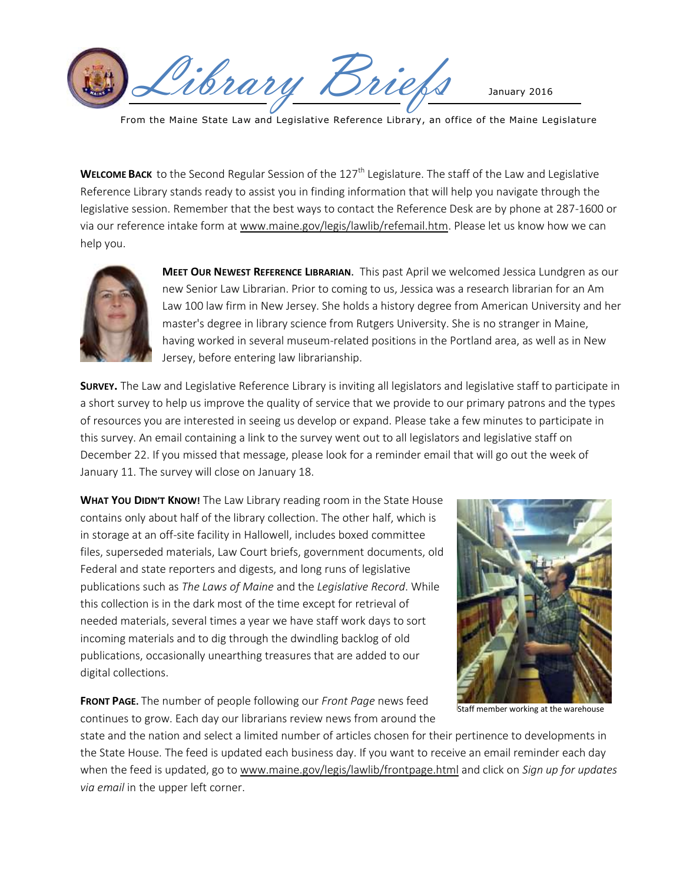Wibrary Briefs January 2016

From the Maine State Law and Legislative Reference Library, an office of the Maine Legislature

**WELCOME BACK** to the Second Regular Session of the 127<sup>th</sup> Legislature. The staff of the Law and Legislative Reference Library stands ready to assist you in finding information that will help you navigate through the legislative session. Remember that the best ways to contact the Reference Desk are by phone at 287-1600 or via our reference intake form at [www.maine.gov/legis/lawlib/refemail.htm.](http://www.maine.gov/legis/lawlib/refemail.htm) Please let us know how we can help you.



**MEET OUR NEWEST REFERENCE LIBRARIAN**. This past April we welcomed Jessica Lundgren as our new Senior Law Librarian. Prior to coming to us, Jessica was a research librarian for an Am Law 100 law firm in New Jersey. She holds a history degree from American University and her master's degree in library science from Rutgers University. She is no stranger in Maine, having worked in several museum-related positions in the Portland area, as well as in New Jersey, before entering law librarianship.

**SURVEY.** The Law and Legislative Reference Library is inviting all legislators and legislative staff to participate in a short survey to help us improve the quality of service that we provide to our primary patrons and the types of resources you are interested in seeing us develop or expand. Please take a few minutes to participate in this survey. An email containing a link to the survey went out to all legislators and legislative staff on December 22. If you missed that message, please look for a reminder email that will go out the week of January 11. The survey will close on January 18.

**WHAT YOU DIDN'T KNOW!** The Law Library reading room in the State House contains only about half of the library collection. The other half, which is in storage at an off-site facility in Hallowell, includes boxed committee files, superseded materials, Law Court briefs, government documents, old Federal and state reporters and digests, and long runs of legislative publications such as *The Laws of Maine* and the *Legislative Record*. While this collection is in the dark most of the time except for retrieval of needed materials, several times a year we have staff work days to sort incoming materials and to dig through the dwindling backlog of old publications, occasionally unearthing treasures that are added to our digital collections.

**FRONT PAGE.** The number of people following our *Front Page* news feed continues to grow. Each day our librarians review news from around the



Staff member working at the warehouse

state and the nation and select a limited number of articles chosen for their pertinence to developments in the State House. The feed is updated each business day. If you want to receive an email reminder each day when the feed is updated, go to [www.maine.gov/legis/lawlib/frontpage.html](http://www.maine.gov/legis/lawlib/frontpage.html) and click on *Sign up for updates via email* in the upper left corner.